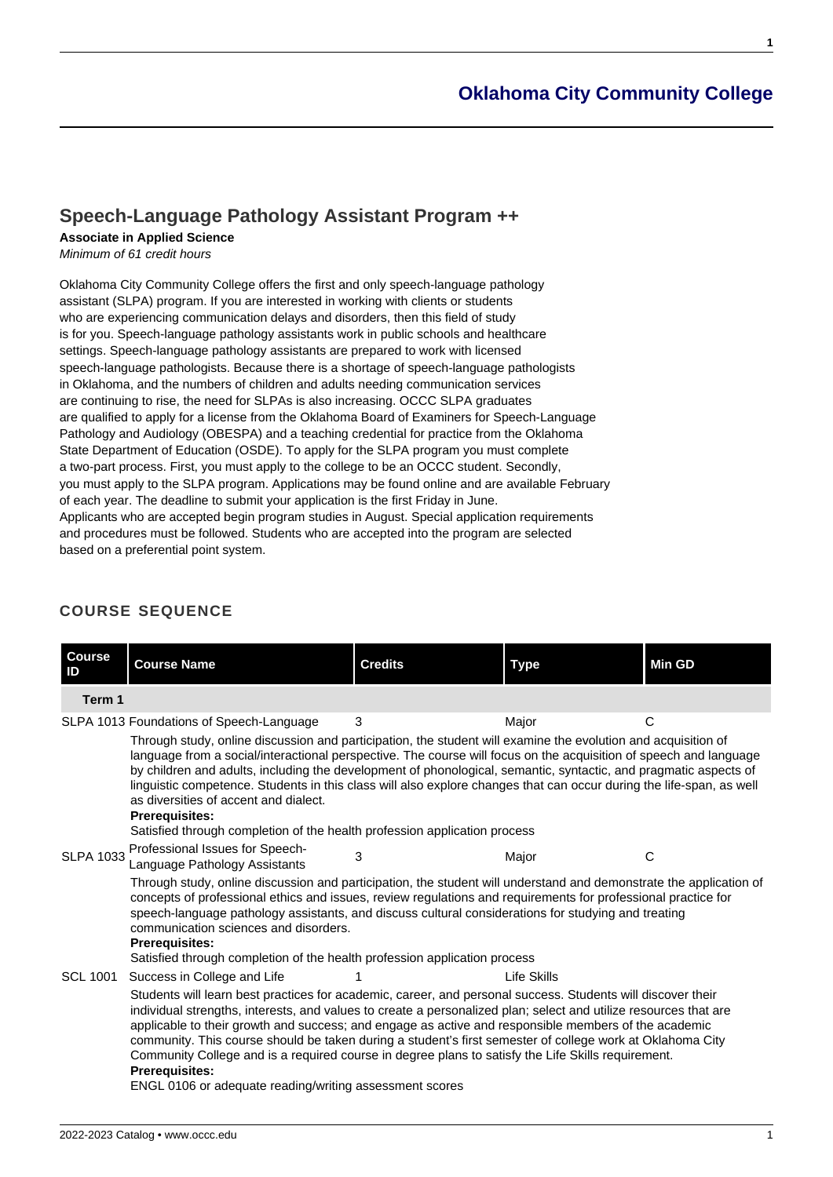# **[Oklahoma City Community College](https://www.occc.edu/catalog/)**

# **[Speech-Language Pathology Assistant Program ++](https://www.occc.edu/catalog/degree-programs/health-professions/speech-language-pathology-assistant-program/)**

# **Associate in Applied Science**

Minimum of 61 credit hours

Oklahoma City Community College offers the first and only speech-language pathology assistant (SLPA) program. If you are interested in working with clients or students who are experiencing communication delays and disorders, then this field of study is for you. Speech-language pathology assistants work in public schools and healthcare settings. Speech-language pathology assistants are prepared to work with licensed speech-language pathologists. Because there is a shortage of speech-language pathologists in Oklahoma, and the numbers of children and adults needing communication services are continuing to rise, the need for SLPAs is also increasing. OCCC SLPA graduates are qualified to apply for a license from the Oklahoma Board of Examiners for Speech-Language Pathology and Audiology (OBESPA) and a teaching credential for practice from the Oklahoma State Department of Education (OSDE). To apply for the SLPA program you must complete a two-part process. First, you must apply to the college to be an OCCC student. Secondly, you must apply to the SLPA program. Applications may be found online and are available February of each year. The deadline to submit your application is the first Friday in June. Applicants who are accepted begin program studies in August. Special application requirements and procedures must be followed. Students who are accepted into the program are selected based on a preferential point system.

# **COURSE SEQUENCE**

| <b>Course</b><br>ID | <b>Course Name</b>                                                                                                                                                                                                                                                                                                                                                                                                                                                                                                                                                                                                                                                                           | <b>Credits</b> | <b>Type</b> | <b>Min GD</b> |  |  |  |
|---------------------|----------------------------------------------------------------------------------------------------------------------------------------------------------------------------------------------------------------------------------------------------------------------------------------------------------------------------------------------------------------------------------------------------------------------------------------------------------------------------------------------------------------------------------------------------------------------------------------------------------------------------------------------------------------------------------------------|----------------|-------------|---------------|--|--|--|
| Term 1              |                                                                                                                                                                                                                                                                                                                                                                                                                                                                                                                                                                                                                                                                                              |                |             |               |  |  |  |
|                     | 3<br>C<br>SLPA 1013 Foundations of Speech-Language<br>Major<br>Through study, online discussion and participation, the student will examine the evolution and acquisition of<br>language from a social/interactional perspective. The course will focus on the acquisition of speech and language<br>by children and adults, including the development of phonological, semantic, syntactic, and pragmatic aspects of<br>linguistic competence. Students in this class will also explore changes that can occur during the life-span, as well<br>as diversities of accent and dialect.<br><b>Prerequisites:</b>                                                                              |                |             |               |  |  |  |
| <b>SLPA 1033</b>    | Satisfied through completion of the health profession application process<br>Professional Issues for Speech-<br>Language Pathology Assistants<br>Through study, online discussion and participation, the student will understand and demonstrate the application of<br>concepts of professional ethics and issues, review regulations and requirements for professional practice for<br>speech-language pathology assistants, and discuss cultural considerations for studying and treating<br>communication sciences and disorders.<br><b>Prerequisites:</b><br>Satisfied through completion of the health profession application process                                                   | 3              | Major       | C             |  |  |  |
| <b>SCL 1001</b>     | Success in College and Life<br>Life Skills<br>Students will learn best practices for academic, career, and personal success. Students will discover their<br>individual strengths, interests, and values to create a personalized plan; select and utilize resources that are<br>applicable to their growth and success; and engage as active and responsible members of the academic<br>community. This course should be taken during a student's first semester of college work at Oklahoma City<br>Community College and is a required course in degree plans to satisfy the Life Skills requirement.<br><b>Prerequisites:</b><br>ENGL 0106 or adequate reading/writing assessment scores |                |             |               |  |  |  |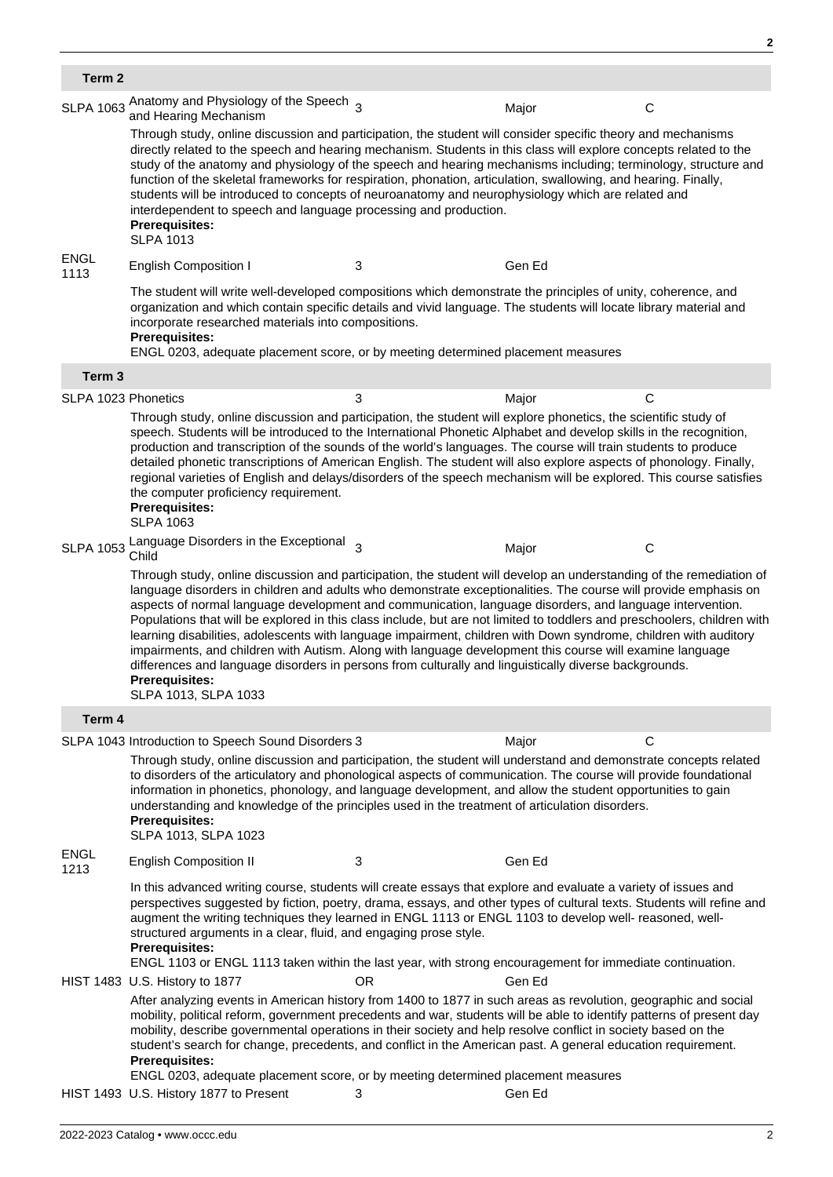| Term 2              |                                                                                                                                                                                                                                                                                                                                                                                                                                                                                                                                                                                                                                                                                                                                                                                                                                                                          |     |        |              |  |  |  |  |
|---------------------|--------------------------------------------------------------------------------------------------------------------------------------------------------------------------------------------------------------------------------------------------------------------------------------------------------------------------------------------------------------------------------------------------------------------------------------------------------------------------------------------------------------------------------------------------------------------------------------------------------------------------------------------------------------------------------------------------------------------------------------------------------------------------------------------------------------------------------------------------------------------------|-----|--------|--------------|--|--|--|--|
| <b>SLPA 1063</b>    | Anatomy and Physiology of the Speech 3<br>and Hearing Mechanism                                                                                                                                                                                                                                                                                                                                                                                                                                                                                                                                                                                                                                                                                                                                                                                                          |     | Major  | $\mathsf{C}$ |  |  |  |  |
|                     | Through study, online discussion and participation, the student will consider specific theory and mechanisms<br>directly related to the speech and hearing mechanism. Students in this class will explore concepts related to the<br>study of the anatomy and physiology of the speech and hearing mechanisms including; terminology, structure and<br>function of the skeletal frameworks for respiration, phonation, articulation, swallowing, and hearing. Finally,<br>students will be introduced to concepts of neuroanatomy and neurophysiology which are related and<br>interdependent to speech and language processing and production.<br><b>Prerequisites:</b><br><b>SLPA 1013</b>                                                                                                                                                                             |     |        |              |  |  |  |  |
| <b>ENGL</b><br>1113 | <b>English Composition I</b>                                                                                                                                                                                                                                                                                                                                                                                                                                                                                                                                                                                                                                                                                                                                                                                                                                             | 3   | Gen Ed |              |  |  |  |  |
|                     | The student will write well-developed compositions which demonstrate the principles of unity, coherence, and<br>organization and which contain specific details and vivid language. The students will locate library material and<br>incorporate researched materials into compositions.<br><b>Prerequisites:</b><br>ENGL 0203, adequate placement score, or by meeting determined placement measures                                                                                                                                                                                                                                                                                                                                                                                                                                                                    |     |        |              |  |  |  |  |
| Term <sub>3</sub>   |                                                                                                                                                                                                                                                                                                                                                                                                                                                                                                                                                                                                                                                                                                                                                                                                                                                                          |     |        |              |  |  |  |  |
| SLPA 1023 Phonetics |                                                                                                                                                                                                                                                                                                                                                                                                                                                                                                                                                                                                                                                                                                                                                                                                                                                                          | 3   | Major  | C            |  |  |  |  |
|                     | Through study, online discussion and participation, the student will explore phonetics, the scientific study of<br>speech. Students will be introduced to the International Phonetic Alphabet and develop skills in the recognition,<br>production and transcription of the sounds of the world's languages. The course will train students to produce<br>detailed phonetic transcriptions of American English. The student will also explore aspects of phonology. Finally,<br>regional varieties of English and delays/disorders of the speech mechanism will be explored. This course satisfies<br>the computer proficiency requirement.<br><b>Prerequisites:</b><br><b>SLPA 1063</b>                                                                                                                                                                                 |     |        |              |  |  |  |  |
| <b>SLPA 1053</b>    | Language Disorders in the Exceptional <sub>3</sub><br>Child                                                                                                                                                                                                                                                                                                                                                                                                                                                                                                                                                                                                                                                                                                                                                                                                              |     | Major  | C            |  |  |  |  |
|                     | Through study, online discussion and participation, the student will develop an understanding of the remediation of<br>language disorders in children and adults who demonstrate exceptionalities. The course will provide emphasis on<br>aspects of normal language development and communication, language disorders, and language intervention.<br>Populations that will be explored in this class include, but are not limited to toddlers and preschoolers, children with<br>learning disabilities, adolescents with language impairment, children with Down syndrome, children with auditory<br>impairments, and children with Autism. Along with language development this course will examine language<br>differences and language disorders in persons from culturally and linguistically diverse backgrounds.<br><b>Prerequisites:</b><br>SLPA 1013, SLPA 1033 |     |        |              |  |  |  |  |
| Term 4              |                                                                                                                                                                                                                                                                                                                                                                                                                                                                                                                                                                                                                                                                                                                                                                                                                                                                          |     |        |              |  |  |  |  |
|                     | SLPA 1043 Introduction to Speech Sound Disorders 3                                                                                                                                                                                                                                                                                                                                                                                                                                                                                                                                                                                                                                                                                                                                                                                                                       |     | Major  | C            |  |  |  |  |
|                     | Through study, online discussion and participation, the student will understand and demonstrate concepts related<br>to disorders of the articulatory and phonological aspects of communication. The course will provide foundational<br>information in phonetics, phonology, and language development, and allow the student opportunities to gain<br>understanding and knowledge of the principles used in the treatment of articulation disorders.<br><b>Prerequisites:</b><br>SLPA 1013, SLPA 1023                                                                                                                                                                                                                                                                                                                                                                    |     |        |              |  |  |  |  |
| <b>ENGL</b><br>1213 | <b>English Composition II</b>                                                                                                                                                                                                                                                                                                                                                                                                                                                                                                                                                                                                                                                                                                                                                                                                                                            | 3   | Gen Ed |              |  |  |  |  |
|                     | In this advanced writing course, students will create essays that explore and evaluate a variety of issues and<br>perspectives suggested by fiction, poetry, drama, essays, and other types of cultural texts. Students will refine and<br>augment the writing techniques they learned in ENGL 1113 or ENGL 1103 to develop well- reasoned, well-<br>structured arguments in a clear, fluid, and engaging prose style.<br><b>Prerequisites:</b><br>ENGL 1103 or ENGL 1113 taken within the last year, with strong encouragement for immediate continuation.                                                                                                                                                                                                                                                                                                              |     |        |              |  |  |  |  |
|                     | HIST 1483 U.S. History to 1877                                                                                                                                                                                                                                                                                                                                                                                                                                                                                                                                                                                                                                                                                                                                                                                                                                           | OR. | Gen Ed |              |  |  |  |  |
|                     | After analyzing events in American history from 1400 to 1877 in such areas as revolution, geographic and social<br>mobility, political reform, government precedents and war, students will be able to identify patterns of present day<br>mobility, describe governmental operations in their society and help resolve conflict in society based on the<br>student's search for change, precedents, and conflict in the American past. A general education requirement.<br><b>Prerequisites:</b><br>ENGL 0203, adequate placement score, or by meeting determined placement measures                                                                                                                                                                                                                                                                                    |     |        |              |  |  |  |  |
|                     | HIST 1493 U.S. History 1877 to Present                                                                                                                                                                                                                                                                                                                                                                                                                                                                                                                                                                                                                                                                                                                                                                                                                                   | 3   | Gen Ed |              |  |  |  |  |

**2**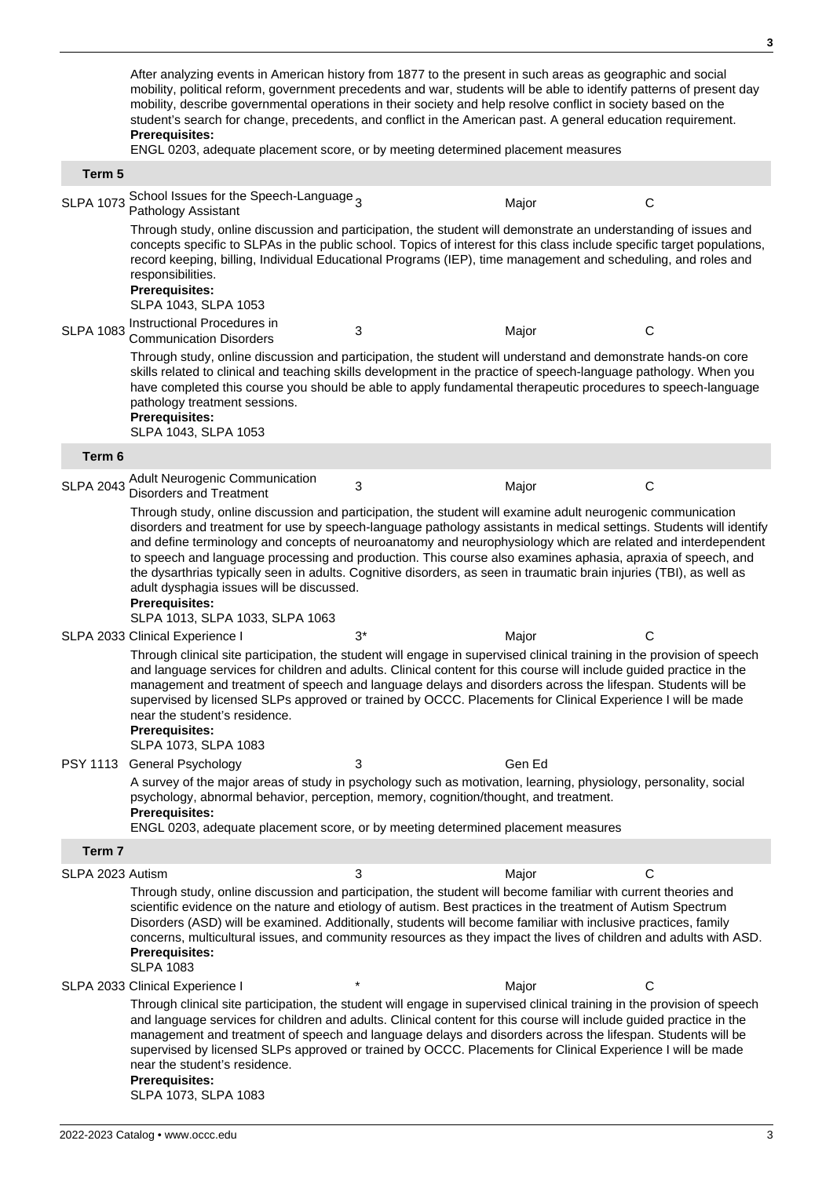After analyzing events in American history from 1877 to the present in such areas as geographic and social mobility, political reform, government precedents and war, students will be able to identify patterns of present day mobility, describe governmental operations in their society and help resolve conflict in society based on the student's search for change, precedents, and conflict in the American past. A general education requirement. **Prerequisites:** ENGL 0203, adequate placement score, or by meeting determined placement measures **Term 5** SLPA 1073 School Issues for the Speech-Language <sub>3</sub> Major C<br>C Through study, online discussion and participation, the student will demonstrate an understanding of issues and concepts specific to SLPAs in the public school. Topics of interest for this class include specific target populations, record keeping, billing, Individual Educational Programs (IEP), time management and scheduling, and roles and responsibilities. **Prerequisites:** SLPA 1043, SLPA 1053 SLPA 1083 Instructional Procedures in Communication Disorders <sup>3</sup> Major <sup>C</sup> Through study, online discussion and participation, the student will understand and demonstrate hands-on core skills related to clinical and teaching skills development in the practice of speech-language pathology. When you have completed this course you should be able to apply fundamental therapeutic procedures to speech-language pathology treatment sessions. **Prerequisites:** SLPA 1043, SLPA 1053 **Term 6** SLPA 2043 Adult Neurogenic Communication Disorders and Treatment <sup>3</sup> Major <sup>C</sup> Through study, online discussion and participation, the student will examine adult neurogenic communication disorders and treatment for use by speech-language pathology assistants in medical settings. Students will identify and define terminology and concepts of neuroanatomy and neurophysiology which are related and interdependent to speech and language processing and production. This course also examines aphasia, apraxia of speech, and the dysarthrias typically seen in adults. Cognitive disorders, as seen in traumatic brain injuries (TBI), as well as adult dysphagia issues will be discussed. **Prerequisites:** SLPA 1013, SLPA 1033, SLPA 1063 SLPA 2033 Clinical Experience I 3<sup>\*</sup> 3<sup>\*</sup> Major Major C Through clinical site participation, the student will engage in supervised clinical training in the provision of speech and language services for children and adults. Clinical content for this course will include guided practice in the management and treatment of speech and language delays and disorders across the lifespan. Students will be supervised by licensed SLPs approved or trained by OCCC. Placements for Clinical Experience I will be made near the student's residence. **Prerequisites:** SLPA 1073, SLPA 1083 PSY 1113 General Psychology 3 3 Gen Ed A survey of the major areas of study in psychology such as motivation, learning, physiology, personality, social psychology, abnormal behavior, perception, memory, cognition/thought, and treatment. **Prerequisites:** ENGL 0203, adequate placement score, or by meeting determined placement measures **Term 7** SLPA 2023 Autism COMPUTE: The COMPUTER SCRIPT COMPUTER SCRIPT OF CONTRACTOR CONTRACTOR CONTRACTOR COMPUTER SCRIPT OF CONTRACTOR CONTRACTOR CONTRACTOR CONTRACTOR CONTRACTOR CONTRACTOR CONTRACTOR CONTRACTOR CONTRACTOR CONTRA Through study, online discussion and participation, the student will become familiar with current theories and scientific evidence on the nature and etiology of autism. Best practices in the treatment of Autism Spectrum Disorders (ASD) will be examined. Additionally, students will become familiar with inclusive practices, family concerns, multicultural issues, and community resources as they impact the lives of children and adults with ASD. **Prerequisites:** SLPA 1083 SLPA 2033 Clinical Experience I \* \* \* \* \* \* Major Major C Through clinical site participation, the student will engage in supervised clinical training in the provision of speech and language services for children and adults. Clinical content for this course will include guided practice in the management and treatment of speech and language delays and disorders across the lifespan. Students will be supervised by licensed SLPs approved or trained by OCCC. Placements for Clinical Experience I will be made near the student's residence. **Prerequisites:** SLPA 1073, SLPA 1083

**3**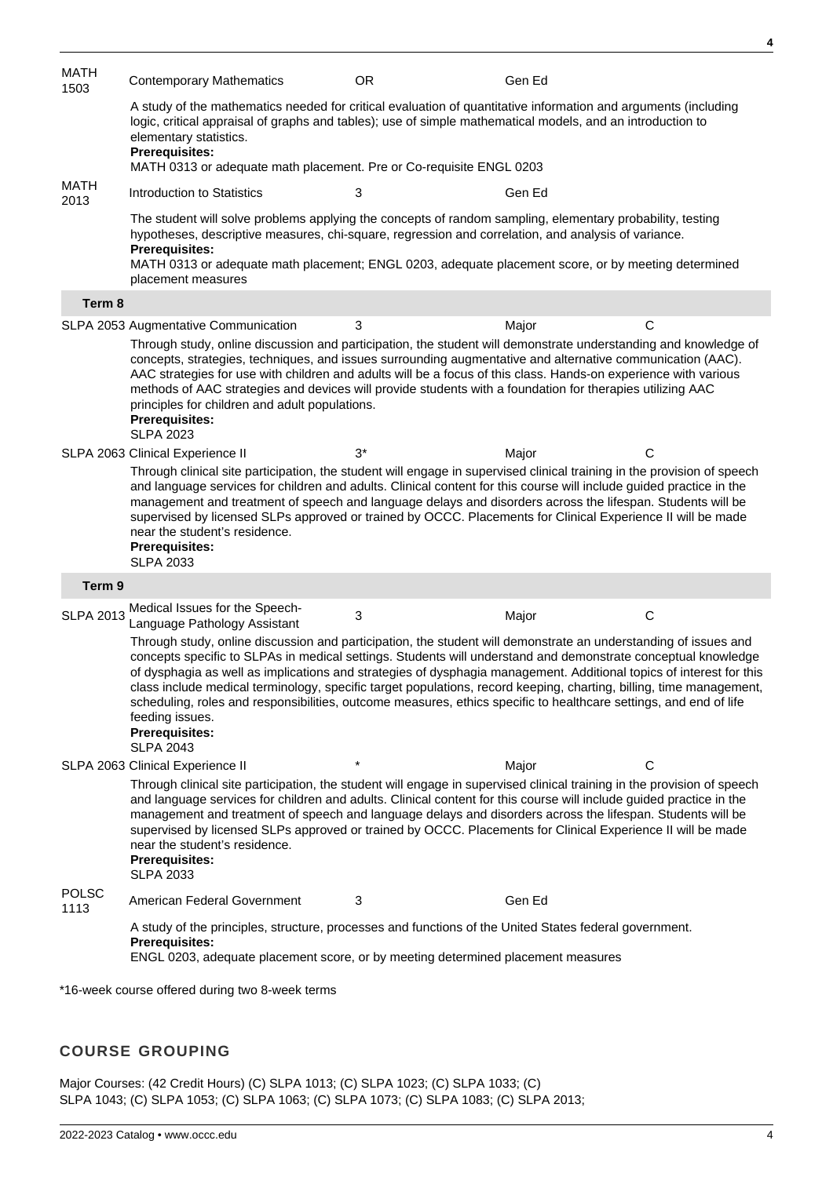| MATH<br>1503                                    | <b>Contemporary Mathematics</b>                                                                                                                                                                                                                                                                                                                                                                                                                                                                                                                                                                                                                                     | <b>OR</b>  | Gen Ed |              |  |  |  |
|-------------------------------------------------|---------------------------------------------------------------------------------------------------------------------------------------------------------------------------------------------------------------------------------------------------------------------------------------------------------------------------------------------------------------------------------------------------------------------------------------------------------------------------------------------------------------------------------------------------------------------------------------------------------------------------------------------------------------------|------------|--------|--------------|--|--|--|
|                                                 | A study of the mathematics needed for critical evaluation of quantitative information and arguments (including<br>logic, critical appraisal of graphs and tables); use of simple mathematical models, and an introduction to<br>elementary statistics.<br>Prerequisites:<br>MATH 0313 or adequate math placement. Pre or Co-requisite ENGL 0203                                                                                                                                                                                                                                                                                                                     |            |        |              |  |  |  |
| <b>MATH</b><br>2013                             | Introduction to Statistics                                                                                                                                                                                                                                                                                                                                                                                                                                                                                                                                                                                                                                          | 3          | Gen Ed |              |  |  |  |
|                                                 | The student will solve problems applying the concepts of random sampling, elementary probability, testing<br>hypotheses, descriptive measures, chi-square, regression and correlation, and analysis of variance.<br><b>Prerequisites:</b><br>MATH 0313 or adequate math placement; ENGL 0203, adequate placement score, or by meeting determined<br>placement measures                                                                                                                                                                                                                                                                                              |            |        |              |  |  |  |
| Term 8                                          |                                                                                                                                                                                                                                                                                                                                                                                                                                                                                                                                                                                                                                                                     |            |        |              |  |  |  |
|                                                 | SLPA 2053 Augmentative Communication                                                                                                                                                                                                                                                                                                                                                                                                                                                                                                                                                                                                                                | 3          | Major  | C            |  |  |  |
|                                                 | Through study, online discussion and participation, the student will demonstrate understanding and knowledge of<br>concepts, strategies, techniques, and issues surrounding augmentative and alternative communication (AAC).<br>AAC strategies for use with children and adults will be a focus of this class. Hands-on experience with various<br>methods of AAC strategies and devices will provide students with a foundation for therapies utilizing AAC<br>principles for children and adult populations.<br><b>Prerequisites:</b><br><b>SLPA 2023</b>                                                                                                        |            |        |              |  |  |  |
|                                                 | SLPA 2063 Clinical Experience II                                                                                                                                                                                                                                                                                                                                                                                                                                                                                                                                                                                                                                    | $3^*$      | Major  | $\mathsf{C}$ |  |  |  |
|                                                 | Through clinical site participation, the student will engage in supervised clinical training in the provision of speech<br>and language services for children and adults. Clinical content for this course will include guided practice in the<br>management and treatment of speech and language delays and disorders across the lifespan. Students will be<br>supervised by licensed SLPs approved or trained by OCCC. Placements for Clinical Experience II will be made<br>near the student's residence.<br><b>Prerequisites:</b><br><b>SLPA 2033</b>                                                                                                           |            |        |              |  |  |  |
| Term 9                                          |                                                                                                                                                                                                                                                                                                                                                                                                                                                                                                                                                                                                                                                                     |            |        |              |  |  |  |
| <b>SLPA 2013</b>                                | Medical Issues for the Speech-<br>Language Pathology Assistant                                                                                                                                                                                                                                                                                                                                                                                                                                                                                                                                                                                                      | 3          | Major  | $\mathsf{C}$ |  |  |  |
|                                                 | Through study, online discussion and participation, the student will demonstrate an understanding of issues and<br>concepts specific to SLPAs in medical settings. Students will understand and demonstrate conceptual knowledge<br>of dysphagia as well as implications and strategies of dysphagia management. Additional topics of interest for this<br>class include medical terminology, specific target populations, record keeping, charting, billing, time management,<br>scheduling, roles and responsibilities, outcome measures, ethics specific to healthcare settings, and end of life<br>feeding issues.<br><b>Prerequisites:</b><br><b>SLPA 2043</b> |            |        |              |  |  |  |
|                                                 | SLPA 2063 Clinical Experience II                                                                                                                                                                                                                                                                                                                                                                                                                                                                                                                                                                                                                                    | $^{\star}$ | Major  | C            |  |  |  |
|                                                 | Through clinical site participation, the student will engage in supervised clinical training in the provision of speech<br>and language services for children and adults. Clinical content for this course will include guided practice in the<br>management and treatment of speech and language delays and disorders across the lifespan. Students will be<br>supervised by licensed SLPs approved or trained by OCCC. Placements for Clinical Experience II will be made<br>near the student's residence.<br><b>Prerequisites:</b><br><b>SLPA 2033</b>                                                                                                           |            |        |              |  |  |  |
| <b>POLSC</b><br>1113                            | American Federal Government                                                                                                                                                                                                                                                                                                                                                                                                                                                                                                                                                                                                                                         | 3          | Gen Ed |              |  |  |  |
|                                                 | A study of the principles, structure, processes and functions of the United States federal government.<br><b>Prerequisites:</b><br>ENGL 0203, adequate placement score, or by meeting determined placement measures                                                                                                                                                                                                                                                                                                                                                                                                                                                 |            |        |              |  |  |  |
| *16-week course offered during two 8-week terms |                                                                                                                                                                                                                                                                                                                                                                                                                                                                                                                                                                                                                                                                     |            |        |              |  |  |  |

# **COURSE GROUPING**

Major Courses: (42 Credit Hours) (C) SLPA 1013; (C) SLPA 1023; (C) SLPA 1033; (C) SLPA 1043; (C) SLPA 1053; (C) SLPA 1063; (C) SLPA 1073; (C) SLPA 1083; (C) SLPA 2013; **4**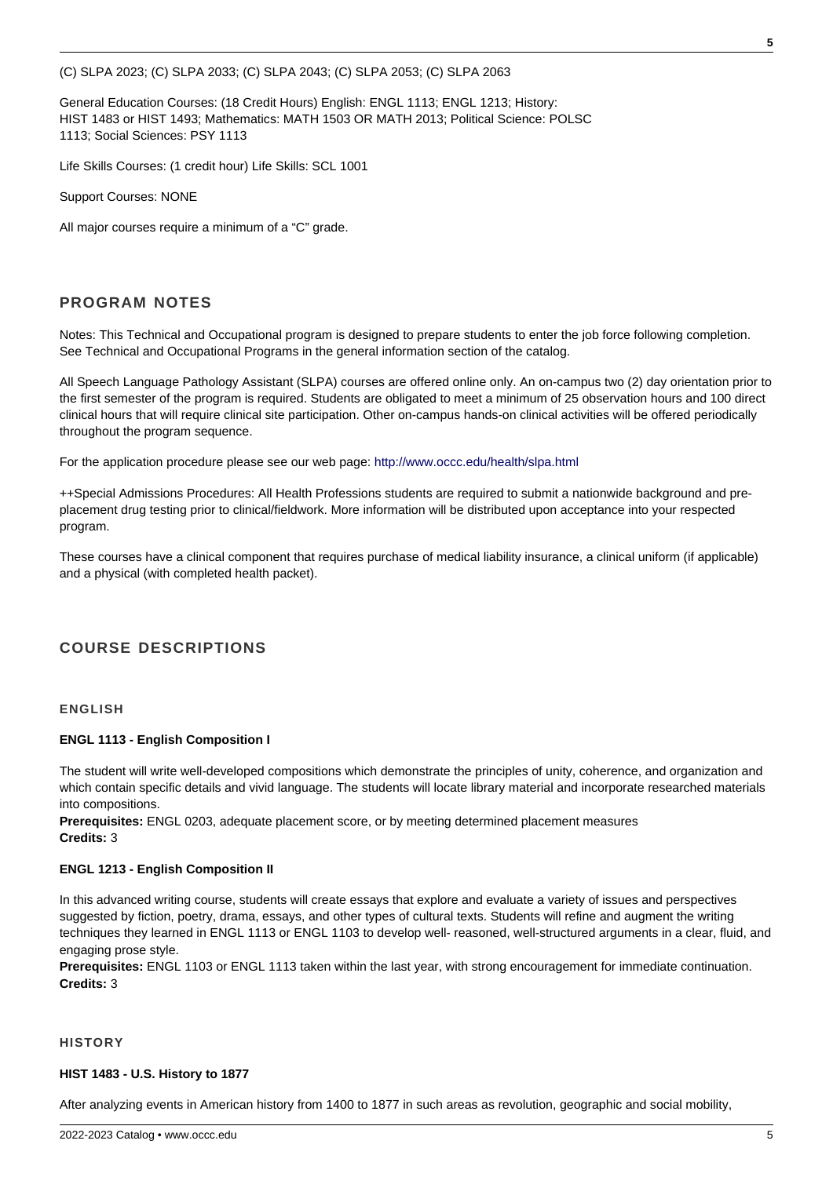(C) SLPA 2023; (C) SLPA 2033; (C) SLPA 2043; (C) SLPA 2053; (C) SLPA 2063

General Education Courses: (18 Credit Hours) English: ENGL 1113; ENGL 1213; History: HIST 1483 or HIST 1493; Mathematics: MATH 1503 OR MATH 2013; Political Science: POLSC 1113; Social Sciences: PSY 1113

Life Skills Courses: (1 credit hour) Life Skills: SCL 1001

Support Courses: NONE

All major courses require a minimum of a "C" grade.

# **PROGRAM NOTES**

Notes: This Technical and Occupational program is designed to prepare students to enter the job force following completion. See Technical and Occupational Programs in the general information section of the catalog.

All Speech Language Pathology Assistant (SLPA) courses are offered online only. An on-campus two (2) day orientation prior to the first semester of the program is required. Students are obligated to meet a minimum of 25 observation hours and 100 direct clinical hours that will require clinical site participation. Other on-campus hands-on clinical activities will be offered periodically throughout the program sequence.

For the application procedure please see our web page: [http://www.occc.edu/health/slpa.html](/nas/content/health/slpa.html)

++Special Admissions Procedures: All Health Professions students are required to submit a nationwide background and preplacement drug testing prior to clinical/fieldwork. More information will be distributed upon acceptance into your respected program.

These courses have a clinical component that requires purchase of medical liability insurance, a clinical uniform (if applicable) and a physical (with completed health packet).

# **COURSE DESCRIPTIONS**

#### **ENGLISH**

#### **ENGL 1113 - English Composition I**

The student will write well-developed compositions which demonstrate the principles of unity, coherence, and organization and which contain specific details and vivid language. The students will locate library material and incorporate researched materials into compositions.

**Prerequisites:** ENGL 0203, adequate placement score, or by meeting determined placement measures **Credits:** 3

#### **ENGL 1213 - English Composition II**

In this advanced writing course, students will create essays that explore and evaluate a variety of issues and perspectives suggested by fiction, poetry, drama, essays, and other types of cultural texts. Students will refine and augment the writing techniques they learned in ENGL 1113 or ENGL 1103 to develop well- reasoned, well-structured arguments in a clear, fluid, and engaging prose style.

**Prerequisites:** ENGL 1103 or ENGL 1113 taken within the last year, with strong encouragement for immediate continuation. **Credits:** 3

#### **HISTORY**

#### **HIST 1483 - U.S. History to 1877**

After analyzing events in American history from 1400 to 1877 in such areas as revolution, geographic and social mobility,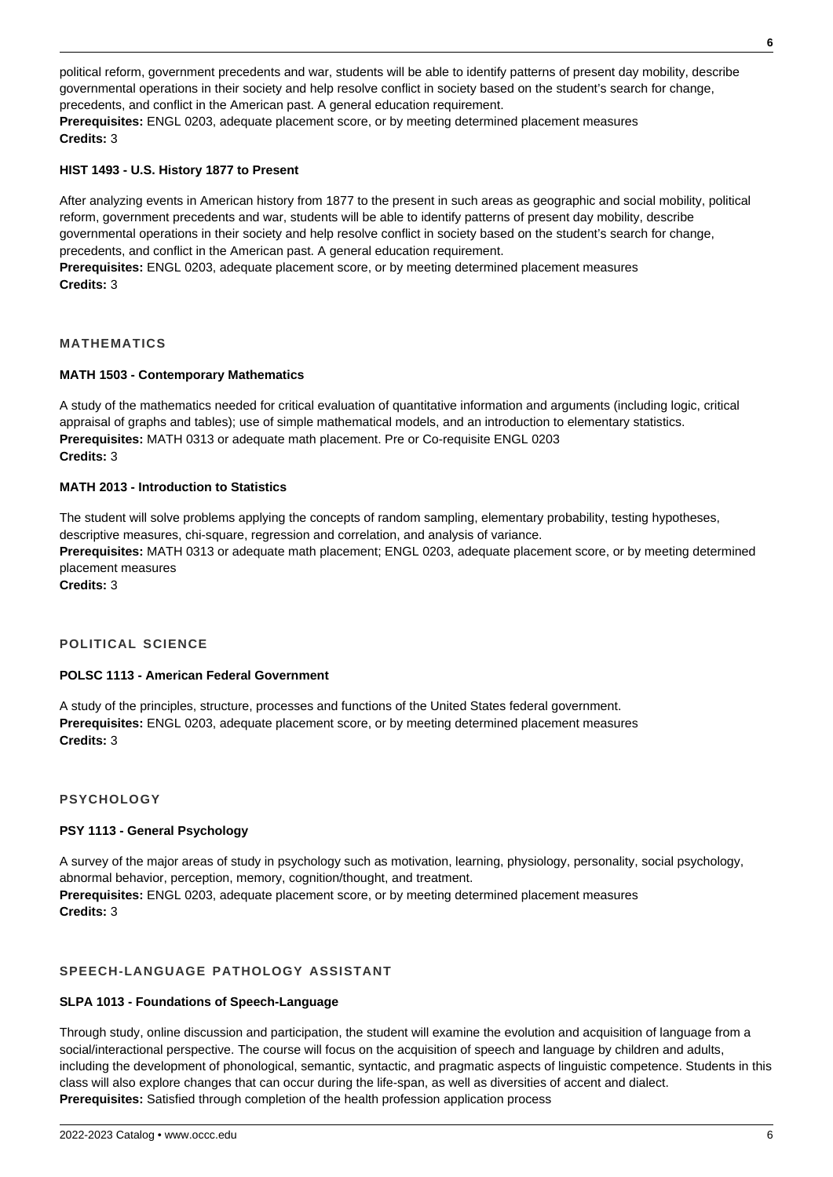political reform, government precedents and war, students will be able to identify patterns of present day mobility, describe governmental operations in their society and help resolve conflict in society based on the student's search for change, precedents, and conflict in the American past. A general education requirement.

**Prerequisites:** ENGL 0203, adequate placement score, or by meeting determined placement measures **Credits:** 3

#### **HIST 1493 - U.S. History 1877 to Present**

After analyzing events in American history from 1877 to the present in such areas as geographic and social mobility, political reform, government precedents and war, students will be able to identify patterns of present day mobility, describe governmental operations in their society and help resolve conflict in society based on the student's search for change, precedents, and conflict in the American past. A general education requirement.

**Prerequisites:** ENGL 0203, adequate placement score, or by meeting determined placement measures **Credits:** 3

## **MATHEMATICS**

## **MATH 1503 - Contemporary Mathematics**

A study of the mathematics needed for critical evaluation of quantitative information and arguments (including logic, critical appraisal of graphs and tables); use of simple mathematical models, and an introduction to elementary statistics. **Prerequisites:** MATH 0313 or adequate math placement. Pre or Co-requisite ENGL 0203 **Credits:** 3

#### **MATH 2013 - Introduction to Statistics**

The student will solve problems applying the concepts of random sampling, elementary probability, testing hypotheses, descriptive measures, chi-square, regression and correlation, and analysis of variance.

**Prerequisites:** MATH 0313 or adequate math placement; ENGL 0203, adequate placement score, or by meeting determined placement measures

**Credits:** 3

#### **POLITICAL SCIENCE**

#### **POLSC 1113 - American Federal Government**

A study of the principles, structure, processes and functions of the United States federal government. **Prerequisites:** ENGL 0203, adequate placement score, or by meeting determined placement measures **Credits:** 3

**PSYCHOLOGY**

#### **PSY 1113 - General Psychology**

A survey of the major areas of study in psychology such as motivation, learning, physiology, personality, social psychology, abnormal behavior, perception, memory, cognition/thought, and treatment. **Prerequisites:** ENGL 0203, adequate placement score, or by meeting determined placement measures **Credits:** 3

# **SPEECH-LANGUAGE PATHOLOGY ASSISTANT**

#### **SLPA 1013 - Foundations of Speech-Language**

Through study, online discussion and participation, the student will examine the evolution and acquisition of language from a social/interactional perspective. The course will focus on the acquisition of speech and language by children and adults, including the development of phonological, semantic, syntactic, and pragmatic aspects of linguistic competence. Students in this class will also explore changes that can occur during the life-span, as well as diversities of accent and dialect. **Prerequisites:** Satisfied through completion of the health profession application process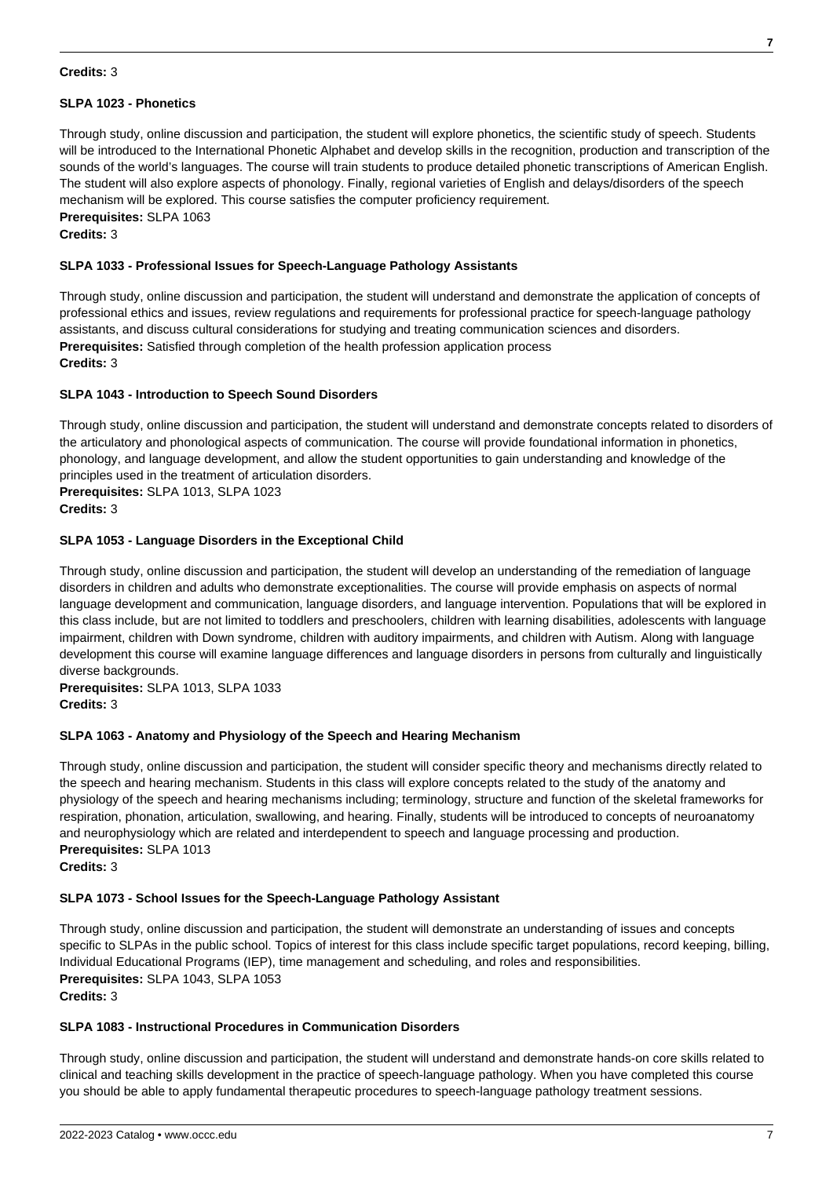#### **Credits:** 3

### **SLPA 1023 - Phonetics**

Through study, online discussion and participation, the student will explore phonetics, the scientific study of speech. Students will be introduced to the International Phonetic Alphabet and develop skills in the recognition, production and transcription of the sounds of the world's languages. The course will train students to produce detailed phonetic transcriptions of American English. The student will also explore aspects of phonology. Finally, regional varieties of English and delays/disorders of the speech mechanism will be explored. This course satisfies the computer proficiency requirement. **Prerequisites:** SLPA 1063

**Credits:** 3

### **SLPA 1033 - Professional Issues for Speech-Language Pathology Assistants**

Through study, online discussion and participation, the student will understand and demonstrate the application of concepts of professional ethics and issues, review regulations and requirements for professional practice for speech-language pathology assistants, and discuss cultural considerations for studying and treating communication sciences and disorders. **Prerequisites:** Satisfied through completion of the health profession application process **Credits:** 3

## **SLPA 1043 - Introduction to Speech Sound Disorders**

Through study, online discussion and participation, the student will understand and demonstrate concepts related to disorders of the articulatory and phonological aspects of communication. The course will provide foundational information in phonetics, phonology, and language development, and allow the student opportunities to gain understanding and knowledge of the principles used in the treatment of articulation disorders. **Prerequisites:** SLPA 1013, SLPA 1023

#### **Credits:** 3

## **SLPA 1053 - Language Disorders in the Exceptional Child**

Through study, online discussion and participation, the student will develop an understanding of the remediation of language disorders in children and adults who demonstrate exceptionalities. The course will provide emphasis on aspects of normal language development and communication, language disorders, and language intervention. Populations that will be explored in this class include, but are not limited to toddlers and preschoolers, children with learning disabilities, adolescents with language impairment, children with Down syndrome, children with auditory impairments, and children with Autism. Along with language development this course will examine language differences and language disorders in persons from culturally and linguistically diverse backgrounds.

**Prerequisites:** SLPA 1013, SLPA 1033 **Credits:** 3

#### **SLPA 1063 - Anatomy and Physiology of the Speech and Hearing Mechanism**

Through study, online discussion and participation, the student will consider specific theory and mechanisms directly related to the speech and hearing mechanism. Students in this class will explore concepts related to the study of the anatomy and physiology of the speech and hearing mechanisms including; terminology, structure and function of the skeletal frameworks for respiration, phonation, articulation, swallowing, and hearing. Finally, students will be introduced to concepts of neuroanatomy and neurophysiology which are related and interdependent to speech and language processing and production. **Prerequisites:** SLPA 1013

**Credits:** 3

#### **SLPA 1073 - School Issues for the Speech-Language Pathology Assistant**

Through study, online discussion and participation, the student will demonstrate an understanding of issues and concepts specific to SLPAs in the public school. Topics of interest for this class include specific target populations, record keeping, billing, Individual Educational Programs (IEP), time management and scheduling, and roles and responsibilities. **Prerequisites:** SLPA 1043, SLPA 1053 **Credits:** 3

#### **SLPA 1083 - Instructional Procedures in Communication Disorders**

Through study, online discussion and participation, the student will understand and demonstrate hands-on core skills related to clinical and teaching skills development in the practice of speech-language pathology. When you have completed this course you should be able to apply fundamental therapeutic procedures to speech-language pathology treatment sessions.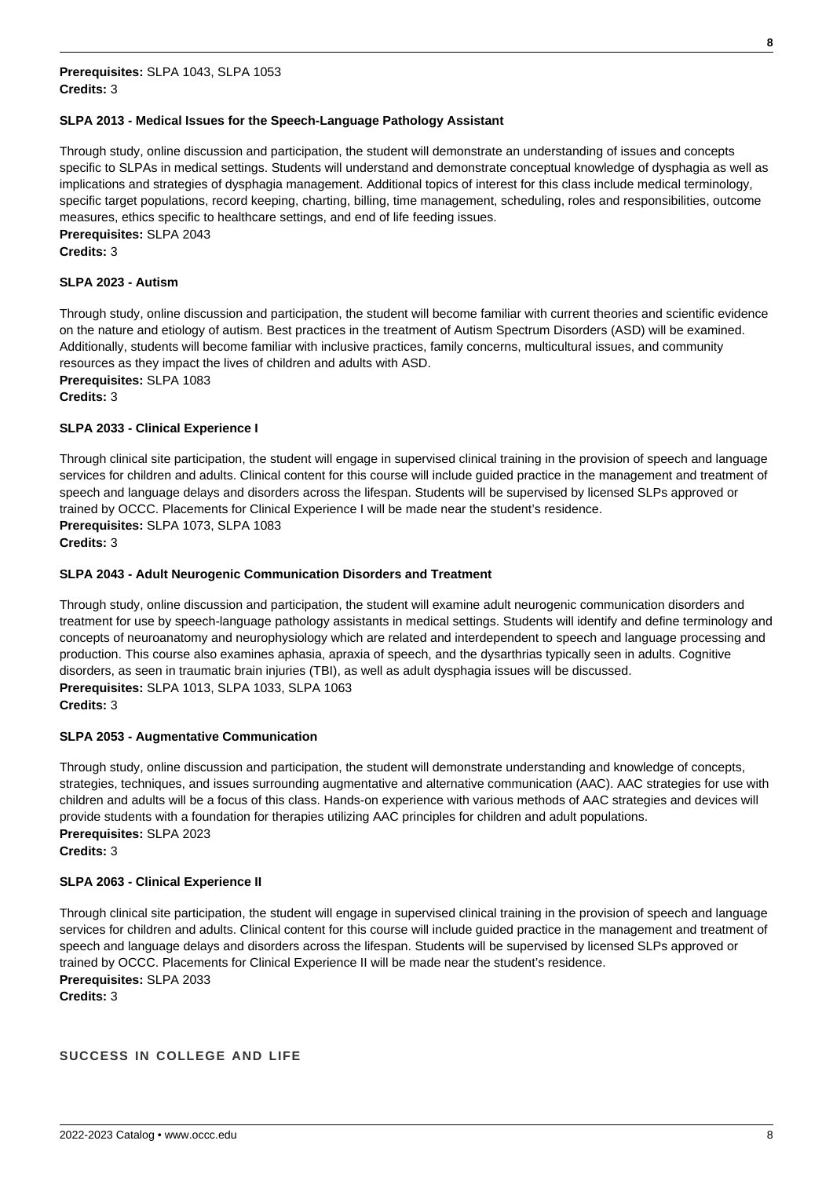#### **SLPA 2013 - Medical Issues for the Speech-Language Pathology Assistant**

Through study, online discussion and participation, the student will demonstrate an understanding of issues and concepts specific to SLPAs in medical settings. Students will understand and demonstrate conceptual knowledge of dysphagia as well as implications and strategies of dysphagia management. Additional topics of interest for this class include medical terminology, specific target populations, record keeping, charting, billing, time management, scheduling, roles and responsibilities, outcome measures, ethics specific to healthcare settings, and end of life feeding issues. **Prerequisites:** SLPA 2043 **Credits:** 3

#### **SLPA 2023 - Autism**

Through study, online discussion and participation, the student will become familiar with current theories and scientific evidence on the nature and etiology of autism. Best practices in the treatment of Autism Spectrum Disorders (ASD) will be examined. Additionally, students will become familiar with inclusive practices, family concerns, multicultural issues, and community resources as they impact the lives of children and adults with ASD. **Prerequisites:** SLPA 1083

# **Credits:** 3

#### **SLPA 2033 - Clinical Experience I**

Through clinical site participation, the student will engage in supervised clinical training in the provision of speech and language services for children and adults. Clinical content for this course will include guided practice in the management and treatment of speech and language delays and disorders across the lifespan. Students will be supervised by licensed SLPs approved or trained by OCCC. Placements for Clinical Experience I will be made near the student's residence. **Prerequisites:** SLPA 1073, SLPA 1083

#### **Credits:** 3

#### **SLPA 2043 - Adult Neurogenic Communication Disorders and Treatment**

Through study, online discussion and participation, the student will examine adult neurogenic communication disorders and treatment for use by speech-language pathology assistants in medical settings. Students will identify and define terminology and concepts of neuroanatomy and neurophysiology which are related and interdependent to speech and language processing and production. This course also examines aphasia, apraxia of speech, and the dysarthrias typically seen in adults. Cognitive disorders, as seen in traumatic brain injuries (TBI), as well as adult dysphagia issues will be discussed. **Prerequisites:** SLPA 1013, SLPA 1033, SLPA 1063 **Credits:** 3

#### **SLPA 2053 - Augmentative Communication**

Through study, online discussion and participation, the student will demonstrate understanding and knowledge of concepts, strategies, techniques, and issues surrounding augmentative and alternative communication (AAC). AAC strategies for use with children and adults will be a focus of this class. Hands-on experience with various methods of AAC strategies and devices will provide students with a foundation for therapies utilizing AAC principles for children and adult populations. **Prerequisites:** SLPA 2023 **Credits:** 3

#### **SLPA 2063 - Clinical Experience II**

Through clinical site participation, the student will engage in supervised clinical training in the provision of speech and language services for children and adults. Clinical content for this course will include guided practice in the management and treatment of speech and language delays and disorders across the lifespan. Students will be supervised by licensed SLPs approved or trained by OCCC. Placements for Clinical Experience II will be made near the student's residence. **Prerequisites:** SLPA 2033 **Credits:** 3

**SUCCESS IN COLLEGE AND LIFE**